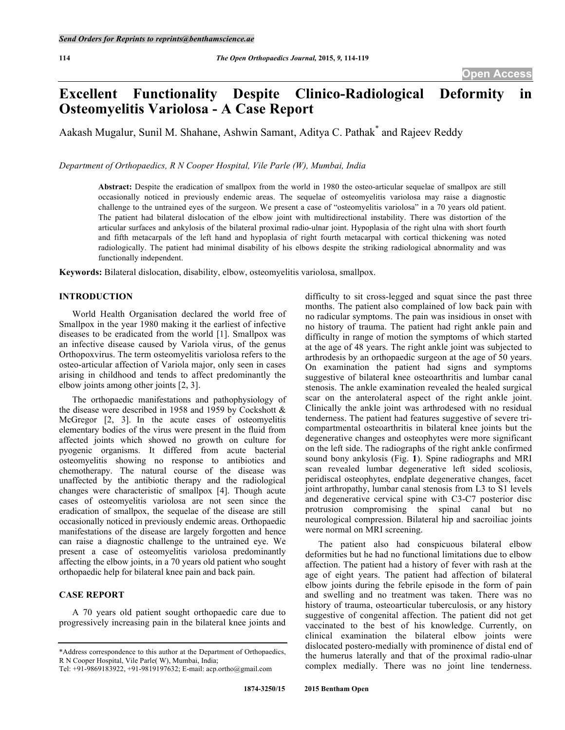# **Excellent Functionality Despite Clinico-Radiological Deformity Osteomyelitis Variolosa - A Case Report**

Aakash Mugalur, Sunil M. Shahane, Ashwin Samant, Aditya C. Pathak\* and Rajeev Reddy

*Department of Orthopaedics, R N Cooper Hospital, Vile Parle (W), Mumbai, India*

**Abstract:** Despite the eradication of smallpox from the world in 1980 the osteo-articular sequelae of smallpox are still occasionally noticed in previously endemic areas. The sequelae of osteomyelitis variolosa may raise a diagnostic challenge to the untrained eyes of the surgeon. We present a case of "osteomyelitis variolosa" in a 70 years old patient. The patient had bilateral dislocation of the elbow joint with multidirectional instability. There was distortion of the articular surfaces and ankylosis of the bilateral proximal radio-ulnar joint. Hypoplasia of the right ulna with short fourth and fifth metacarpals of the left hand and hypoplasia of right fourth metacarpal with cortical thickening was noted radiologically. The patient had minimal disability of his elbows despite the striking radiological abnormality and was functionally independent.

**Keywords:** Bilateral dislocation, disability, elbow, osteomyelitis variolosa, smallpox.

#### **INTRODUCTION**

World Health Organisation declared the world free of Smallpox in the year 1980 making it the earliest of infective diseases to be eradicated from the world [1]. Smallpox was an infective disease caused by Variola virus, of the genus Orthopoxvirus. The term osteomyelitis variolosa refers to the osteo-articular affection of Variola major, only seen in cases arising in childhood and tends to affect predominantly the elbow joints among other joints [2, 3].

The orthopaedic manifestations and pathophysiology of the disease were described in 1958 and 1959 by Cockshott & McGregor [2, 3]. In the acute cases of osteomyelitis elementary bodies of the virus were present in the fluid from affected joints which showed no growth on culture for pyogenic organisms. It differed from acute bacterial osteomyelitis showing no response to antibiotics and chemotherapy. The natural course of the disease was unaffected by the antibiotic therapy and the radiological changes were characteristic of smallpox [4]. Though acute cases of osteomyelitis variolosa are not seen since the eradication of smallpox, the sequelae of the disease are still occasionally noticed in previously endemic areas. Orthopaedic manifestations of the disease are largely forgotten and hence can raise a diagnostic challenge to the untrained eye. We present a case of osteomyelitis variolosa predominantly affecting the elbow joints, in a 70 years old patient who sought orthopaedic help for bilateral knee pain and back pain.

## **CASE REPORT**

A 70 years old patient sought orthopaedic care due to progressively increasing pain in the bilateral knee joints and difficulty to sit cross-legged and squat since the past three months. The patient also complained of low back pain with no radicular symptoms. The pain was insidious in onset with no history of trauma. The patient had right ankle pain and difficulty in range of motion the symptoms of which started at the age of 48 years. The right ankle joint was subjected to arthrodesis by an orthopaedic surgeon at the age of 50 years. On examination the patient had signs and symptoms suggestive of bilateral knee osteoarthritis and lumbar canal stenosis. The ankle examination revealed the healed surgical scar on the anterolateral aspect of the right ankle joint. Clinically the ankle joint was arthrodesed with no residual tenderness. The patient had features suggestive of severe tricompartmental osteoarthritis in bilateral knee joints but the degenerative changes and osteophytes were more significant on the left side. The radiographs of the right ankle confirmed sound bony ankylosis (Fig. **1**). Spine radiographs and MRI scan revealed lumbar degenerative left sided scoliosis, peridiscal osteophytes, endplate degenerative changes, facet joint arthropathy, lumbar canal stenosis from L3 to S1 levels and degenerative cervical spine with C3-C7 posterior disc protrusion compromising the spinal canal but no neurological compression. Bilateral hip and sacroiliac joints were normal on MRI screening.

The patient also had conspicuous bilateral elbow deformities but he had no functional limitations due to elbow affection. The patient had a history of fever with rash at the age of eight years. The patient had affection of bilateral elbow joints during the febrile episode in the form of pain and swelling and no treatment was taken. There was no history of trauma, osteoarticular tuberculosis, or any history suggestive of congenital affection. The patient did not get vaccinated to the best of his knowledge. Currently, on clinical examination the bilateral elbow joints were dislocated postero-medially with prominence of distal end of the humerus laterally and that of the proximal radio-ulnar complex medially. There was no joint line tenderness.

<sup>\*</sup>Address correspondence to this author at the Department of Orthopaedics, R N Cooper Hospital, Vile Parle( W), Mumbai, India;

Tel: +91-9869183922, +91-9819197632; E-mail: acp.ortho@gmail.com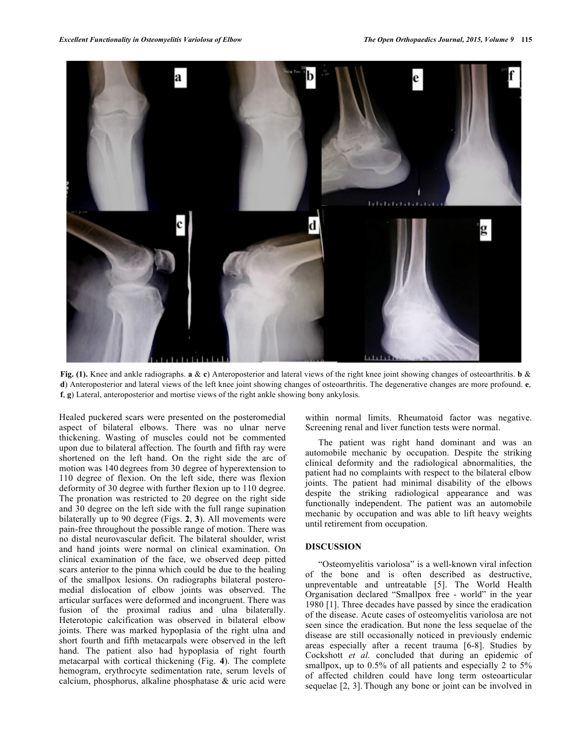

**Fig. (1).** Knee and ankle radiographs. **a** & **c**) Anteroposterior and lateral views of the right knee joint showing changes of osteoarthritis. **b** & **d**) Anteroposterior and lateral views of the left knee joint showing changes of osteoarthritis. The degenerative changes are more profound. **e**, **f**, **g**) Lateral, anteroposterior and mortise views of the right ankle showing bony ankylosis.

Healed puckered scars were presented on the posteromedial aspect of bilateral elbows. There was no ulnar nerve thickening. Wasting of muscles could not be commented upon due to bilateral affection. The fourth and fifth ray were shortened on the left hand. On the right side the arc of motion was 140 degrees from 30 degree of hyperextension to 110 degree of flexion. On the left side, there was flexion deformity of 30 degree with further flexion up to 110 degree. The pronation was restricted to 20 degree on the right side and 30 degree on the left side with the full range supination bilaterally up to 90 degree (Figs. **2**, **3**). All movements were pain-free throughout the possible range of motion. There was no distal neurovascular deficit. The bilateral shoulder, wrist and hand joints were normal on clinical examination. On clinical examination of the face, we observed deep pitted scars anterior to the pinna which could be due to the healing of the smallpox lesions. On radiographs bilateral posteromedial dislocation of elbow joints was observed. The articular surfaces were deformed and incongruent. There was fusion of the proximal radius and ulna bilaterally. Heterotopic calcification was observed in bilateral elbow joints. There was marked hypoplasia of the right ulna and short fourth and fifth metacarpals were observed in the left hand. The patient also had hypoplasia of right fourth metacarpal with cortical thickening (Fig. **4**). The complete hemogram, erythrocyte sedimentation rate, serum levels of calcium, phosphorus, alkaline phosphatase & uric acid were

within normal limits. Rheumatoid factor was negative. Screening renal and liver function tests were normal.

The patient was right hand dominant and was an automobile mechanic by occupation. Despite the striking clinical deformity and the radiological abnormalities, the patient had no complaints with respect to the bilateral elbow joints. The patient had minimal disability of the elbows despite the striking radiological appearance and was functionally independent. The patient was an automobile mechanic by occupation and was able to lift heavy weights until retirement from occupation.

## **DISCUSSION**

"Osteomyelitis variolosa" is a well-known viral infection of the bone and is often described as destructive, unpreventable and untreatable [5]. The World Health Organisation declared "Smallpox free - world" in the year 1980 [1]. Three decades have passed by since the eradication of the disease. Acute cases of osteomyelitis variolosa are not seen since the eradication. But none the less sequelae of the disease are still occasionally noticed in previously endemic areas especially after a recent trauma [6-8]. Studies by Cockshott *et al.* concluded that during an epidemic of smallpox, up to 0.5% of all patients and especially 2 to 5% of affected children could have long term osteoarticular sequelae [2, 3]. Though any bone or joint can be involved in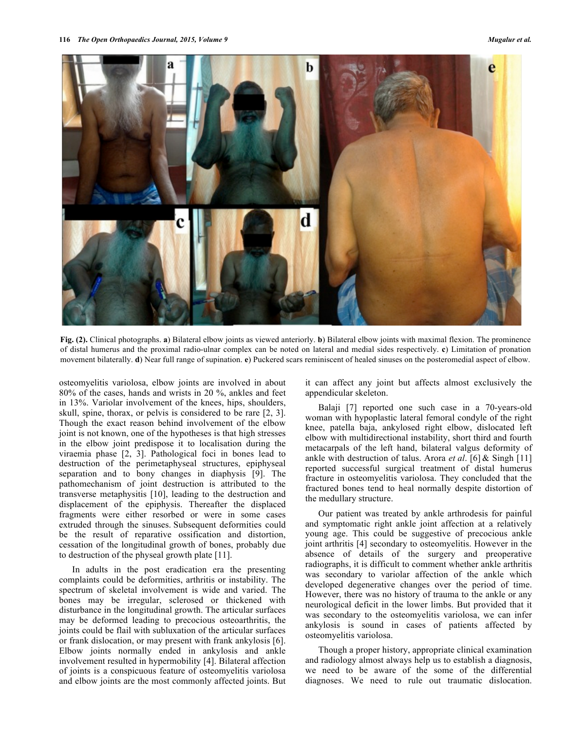

**Fig. (2).** Clinical photographs. **a**) Bilateral elbow joints as viewed anteriorly. **b**) Bilateral elbow joints with maximal flexion. The prominence of distal humerus and the proximal radio-ulnar complex can be noted on lateral and medial sides respectively. **c**) Limitation of pronation movement bilaterally. **d**) Near full range of supination. **e**) Puckered scars reminiscent of healed sinuses on the posteromedial aspect of elbow.

osteomyelitis variolosa, elbow joints are involved in about 80% of the cases, hands and wrists in 20 %, ankles and feet in 13%. Variolar involvement of the knees, hips, shoulders, skull, spine, thorax, or pelvis is considered to be rare [2, 3]. Though the exact reason behind involvement of the elbow joint is not known, one of the hypotheses is that high stresses in the elbow joint predispose it to localisation during the viraemia phase [2, 3]. Pathological foci in bones lead to destruction of the perimetaphyseal structures, epiphyseal separation and to bony changes in diaphysis [9]. The pathomechanism of joint destruction is attributed to the transverse metaphysitis [10], leading to the destruction and displacement of the epiphysis. Thereafter the displaced fragments were either resorbed or were in some cases extruded through the sinuses. Subsequent deformities could be the result of reparative ossification and distortion, cessation of the longitudinal growth of bones, probably due to destruction of the physeal growth plate [11].

In adults in the post eradication era the presenting complaints could be deformities, arthritis or instability. The spectrum of skeletal involvement is wide and varied. The bones may be irregular, sclerosed or thickened with disturbance in the longitudinal growth. The articular surfaces may be deformed leading to precocious osteoarthritis, the joints could be flail with subluxation of the articular surfaces or frank dislocation, or may present with frank ankylosis [6]. Elbow joints normally ended in ankylosis and ankle involvement resulted in hypermobility [4]. Bilateral affection of joints is a conspicuous feature of osteomyelitis variolosa and elbow joints are the most commonly affected joints. But

it can affect any joint but affects almost exclusively the appendicular skeleton.

Balaji [7] reported one such case in a 70-years-old woman with hypoplastic lateral femoral condyle of the right knee, patella baja, ankylosed right elbow, dislocated left elbow with multidirectional instability, short third and fourth metacarpals of the left hand, bilateral valgus deformity of ankle with destruction of talus. Arora *et al*. [6] & Singh [11] reported successful surgical treatment of distal humerus fracture in osteomyelitis variolosa. They concluded that the fractured bones tend to heal normally despite distortion of the medullary structure.

Our patient was treated by ankle arthrodesis for painful and symptomatic right ankle joint affection at a relatively young age. This could be suggestive of precocious ankle joint arthritis [4] secondary to osteomyelitis. However in the absence of details of the surgery and preoperative radiographs, it is difficult to comment whether ankle arthritis was secondary to variolar affection of the ankle which developed degenerative changes over the period of time. However, there was no history of trauma to the ankle or any neurological deficit in the lower limbs. But provided that it was secondary to the osteomyelitis variolosa, we can infer ankylosis is sound in cases of patients affected by osteomyelitis variolosa.

Though a proper history, appropriate clinical examination and radiology almost always help us to establish a diagnosis, we need to be aware of the some of the differential diagnoses. We need to rule out traumatic dislocation.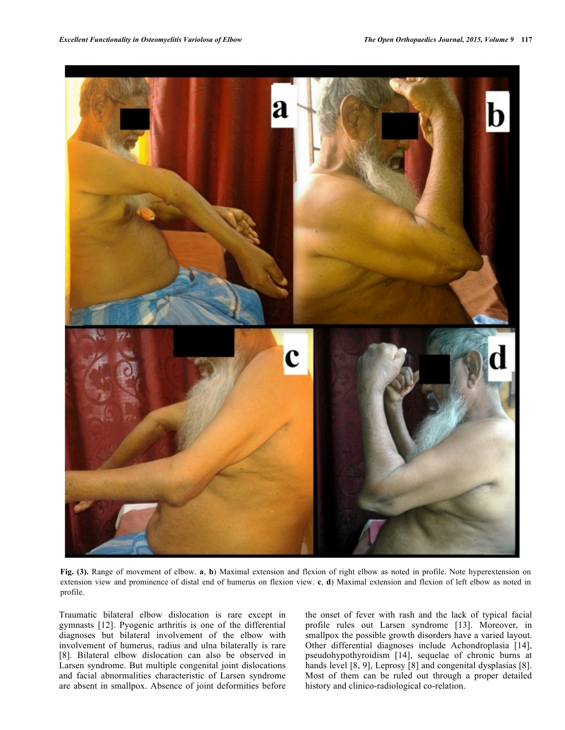

**Fig. (3).** Range of movement of elbow. **a**, **b**) Maximal extension and flexion of right elbow as noted in profile. Note hyperextension on extension view and prominence of distal end of humerus on flexion view. **c**, **d**) Maximal extension and flexion of left elbow as noted in profile.

Traumatic bilateral elbow dislocation is rare except in gymnasts [12]. Pyogenic arthritis is one of the differential diagnoses but bilateral involvement of the elbow with involvement of humerus, radius and ulna bilaterally is rare [8]. Bilateral elbow dislocation can also be observed in Larsen syndrome. But multiple congenital joint dislocations and facial abnormalities characteristic of Larsen syndrome are absent in smallpox. Absence of joint deformities before the onset of fever with rash and the lack of typical facial profile rules out Larsen syndrome [13]. Moreover, in smallpox the possible growth disorders have a varied layout. Other differential diagnoses include Achondroplasia [14], pseudohypothyroidism [14], sequelae of chronic burns at hands level [8, 9], Leprosy [8] and congenital dysplasias [8]. Most of them can be ruled out through a proper detailed history and clinico-radiological co-relation.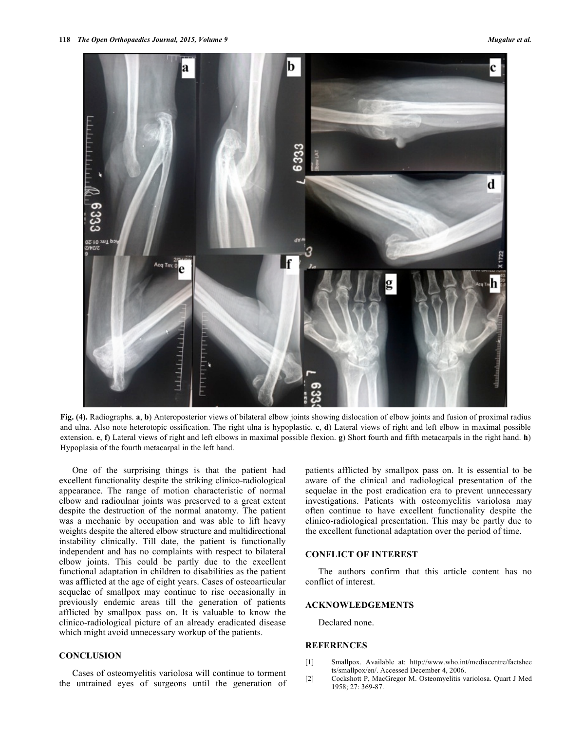

**Fig. (4).** Radiographs. **a**, **b**) Anteroposterior views of bilateral elbow joints showing dislocation of elbow joints and fusion of proximal radius and ulna. Also note heterotopic ossification. The right ulna is hypoplastic. **c**, **d**) Lateral views of right and left elbow in maximal possible extension. **e**, **f**) Lateral views of right and left elbows in maximal possible flexion. **g**) Short fourth and fifth metacarpals in the right hand. **h**) Hypoplasia of the fourth metacarpal in the left hand.

One of the surprising things is that the patient had excellent functionality despite the striking clinico-radiological appearance. The range of motion characteristic of normal elbow and radioulnar joints was preserved to a great extent despite the destruction of the normal anatomy. The patient was a mechanic by occupation and was able to lift heavy weights despite the altered elbow structure and multidirectional instability clinically. Till date, the patient is functionally independent and has no complaints with respect to bilateral elbow joints. This could be partly due to the excellent functional adaptation in children to disabilities as the patient was afflicted at the age of eight years. Cases of osteoarticular sequelae of smallpox may continue to rise occasionally in previously endemic areas till the generation of patients afflicted by smallpox pass on. It is valuable to know the clinico-radiological picture of an already eradicated disease which might avoid unnecessary workup of the patients.

# **CONCLUSION**

Cases of osteomyelitis variolosa will continue to torment the untrained eyes of surgeons until the generation of patients afflicted by smallpox pass on. It is essential to be aware of the clinical and radiological presentation of the sequelae in the post eradication era to prevent unnecessary investigations. Patients with osteomyelitis variolosa may often continue to have excellent functionality despite the clinico-radiological presentation. This may be partly due to the excellent functional adaptation over the period of time.

#### **CONFLICT OF INTEREST**

The authors confirm that this article content has no conflict of interest.

#### **ACKNOWLEDGEMENTS**

Declared none.

#### **REFERENCES**

- [1] Smallpox. Available at: http://www.who.int/mediacentre/factshee ts/smallpox/en/. Accessed December 4, 2006.
- [2] Cockshott P, MacGregor M. Osteomyelitis variolosa. Quart J Med 1958; 27: 369-87.